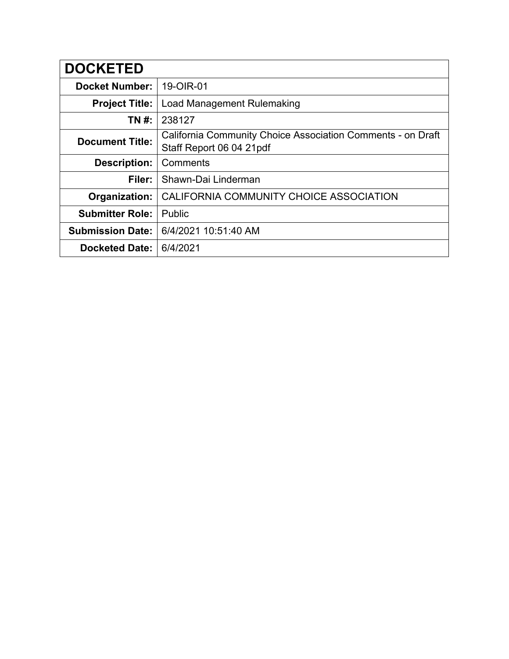| <b>DOCKETED</b>         |                                                                                         |
|-------------------------|-----------------------------------------------------------------------------------------|
| <b>Docket Number:</b>   | 19-OIR-01                                                                               |
| <b>Project Title:</b>   | Load Management Rulemaking                                                              |
| TN #:                   | 238127                                                                                  |
| <b>Document Title:</b>  | California Community Choice Association Comments - on Draft<br>Staff Report 06 04 21pdf |
| <b>Description:</b>     | Comments                                                                                |
| Filer:                  | Shawn-Dai Linderman                                                                     |
| Organization:           | CALIFORNIA COMMUNITY CHOICE ASSOCIATION                                                 |
| <b>Submitter Role:</b>  | Public                                                                                  |
| <b>Submission Date:</b> | 6/4/2021 10:51:40 AM                                                                    |
| <b>Docketed Date:</b>   | 6/4/2021                                                                                |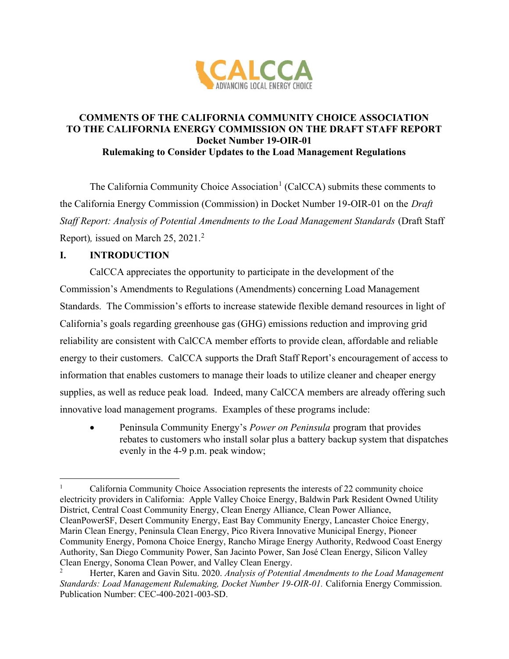

## COMMENTS OF THE CALIFORNIA COMMUNITY CHOICE ASSOCIATION TO THE CALIFORNIA ENERGY COMMISSION ON THE DRAFT STAFF REPORT Docket Number 19-OIR-01 Rulemaking to Consider Updates to the Load Management Regulations

The California Community Choice Association<sup>1</sup> (CalCCA) submits these comments to the California Energy Commission (Commission) in Docket Number 19-OIR-01 on the Draft Staff Report: Analysis of Potential Amendments to the Load Management Standards (Draft Staff Report), issued on March 25, 2021.<sup>2</sup>

## I. INTRODUCTION

CalCCA appreciates the opportunity to participate in the development of the Commission's Amendments to Regulations (Amendments) concerning Load Management Standards. The Commission's efforts to increase statewide flexible demand resources in light of California's goals regarding greenhouse gas (GHG) emissions reduction and improving grid reliability are consistent with CalCCA member efforts to provide clean, affordable and reliable energy to their customers. CalCCA supports the Draft Staff Report's encouragement of access to information that enables customers to manage their loads to utilize cleaner and cheaper energy supplies, as well as reduce peak load. Indeed, many CalCCA members are already offering such innovative load management programs. Examples of these programs include:

 Peninsula Community Energy's Power on Peninsula program that provides rebates to customers who install solar plus a battery backup system that dispatches evenly in the 4-9 p.m. peak window;

<sup>1</sup> California Community Choice Association represents the interests of 22 community choice electricity providers in California: Apple Valley Choice Energy, Baldwin Park Resident Owned Utility District, Central Coast Community Energy, Clean Energy Alliance, Clean Power Alliance, CleanPowerSF, Desert Community Energy, East Bay Community Energy, Lancaster Choice Energy, Marin Clean Energy, Peninsula Clean Energy, Pico Rivera Innovative Municipal Energy, Pioneer Community Energy, Pomona Choice Energy, Rancho Mirage Energy Authority, Redwood Coast Energy Authority, San Diego Community Power, San Jacinto Power, San José Clean Energy, Silicon Valley Clean Energy, Sonoma Clean Power, and Valley Clean Energy.

Herter, Karen and Gavin Situ. 2020. Analysis of Potential Amendments to the Load Management Standards: Load Management Rulemaking, Docket Number 19-OIR-01. California Energy Commission. Publication Number: CEC-400-2021-003-SD.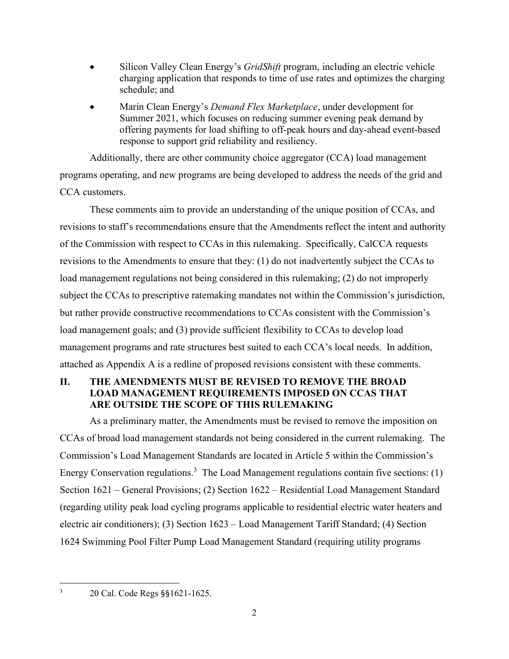- Silicon Valley Clean Energy's GridShift program, including an electric vehicle charging application that responds to time of use rates and optimizes the charging schedule; and
- Marin Clean Energy's Demand Flex Marketplace, under development for Summer 2021, which focuses on reducing summer evening peak demand by offering payments for load shifting to off-peak hours and day-ahead event-based response to support grid reliability and resiliency.

Additionally, there are other community choice aggregator (CCA) load management programs operating, and new programs are being developed to address the needs of the grid and CCA customers.

These comments aim to provide an understanding of the unique position of CCAs, and revisions to staff's recommendations ensure that the Amendments reflect the intent and authority of the Commission with respect to CCAs in this rulemaking. Specifically, CalCCA requests revisions to the Amendments to ensure that they: (1) do not inadvertently subject the CCAs to load management regulations not being considered in this rulemaking; (2) do not improperly subject the CCAs to prescriptive ratemaking mandates not within the Commission's jurisdiction, but rather provide constructive recommendations to CCAs consistent with the Commission's load management goals; and (3) provide sufficient flexibility to CCAs to develop load management programs and rate structures best suited to each CCA's local needs. In addition, attached as Appendix A is a redline of proposed revisions consistent with these comments.

# II. THE AMENDMENTS MUST BE REVISED TO REMOVE THE BROAD LOAD MANAGEMENT REQUIREMENTS IMPOSED ON CCAS THAT ARE OUTSIDE THE SCOPE OF THIS RULEMAKING

As a preliminary matter, the Amendments must be revised to remove the imposition on CCAs of broad load management standards not being considered in the current rulemaking. The Commission's Load Management Standards are located in Article 5 within the Commission's Energy Conservation regulations.<sup>3</sup> The Load Management regulations contain five sections: (1) Section 1621 – General Provisions; (2) Section 1622 – Residential Load Management Standard (regarding utility peak load cycling programs applicable to residential electric water heaters and electric air conditioners); (3) Section 1623 – Load Management Tariff Standard; (4) Section 1624 Swimming Pool Filter Pump Load Management Standard (requiring utility programs

<sup>3</sup> 20 Cal. Code Regs §§1621-1625.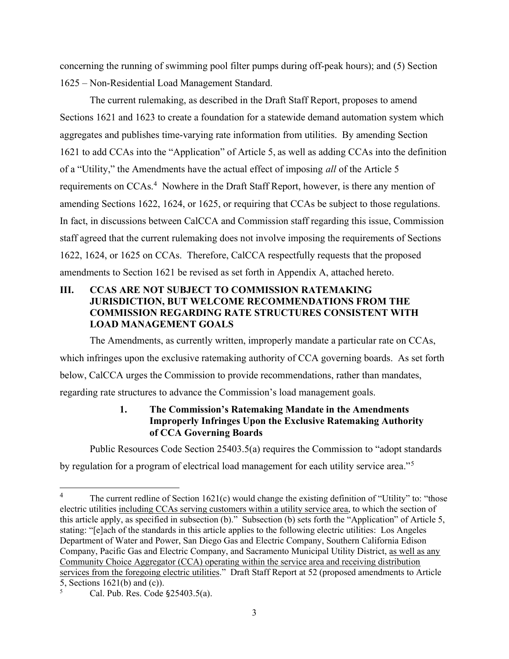concerning the running of swimming pool filter pumps during off-peak hours); and (5) Section 1625 – Non-Residential Load Management Standard.

The current rulemaking, as described in the Draft Staff Report, proposes to amend Sections 1621 and 1623 to create a foundation for a statewide demand automation system which aggregates and publishes time-varying rate information from utilities. By amending Section 1621 to add CCAs into the "Application" of Article 5, as well as adding CCAs into the definition of a "Utility," the Amendments have the actual effect of imposing all of the Article 5 requirements on CCAs.<sup>4</sup> Nowhere in the Draft Staff Report, however, is there any mention of amending Sections 1622, 1624, or 1625, or requiring that CCAs be subject to those regulations. In fact, in discussions between CalCCA and Commission staff regarding this issue, Commission staff agreed that the current rulemaking does not involve imposing the requirements of Sections 1622, 1624, or 1625 on CCAs. Therefore, CalCCA respectfully requests that the proposed amendments to Section 1621 be revised as set forth in Appendix A, attached hereto.

### III. CCAS ARE NOT SUBJECT TO COMMISSION RATEMAKING JURISDICTION, BUT WELCOME RECOMMENDATIONS FROM THE COMMISSION REGARDING RATE STRUCTURES CONSISTENT WITH LOAD MANAGEMENT GOALS

The Amendments, as currently written, improperly mandate a particular rate on CCAs, which infringes upon the exclusive ratemaking authority of CCA governing boards. As set forth below, CalCCA urges the Commission to provide recommendations, rather than mandates, regarding rate structures to advance the Commission's load management goals.

## 1. The Commission's Ratemaking Mandate in the Amendments Improperly Infringes Upon the Exclusive Ratemaking Authority of CCA Governing Boards

Public Resources Code Section 25403.5(a) requires the Commission to "adopt standards by regulation for a program of electrical load management for each utility service area."<sup>5</sup>

<sup>&</sup>lt;sup>4</sup> The current redline of Section 1621(c) would change the existing definition of "Utility" to: "those electric utilities including CCAs serving customers within a utility service area, to which the section of this article apply, as specified in subsection (b)." Subsection (b) sets forth the "Application" of Article 5, stating: "[e]ach of the standards in this article applies to the following electric utilities: Los Angeles Department of Water and Power, San Diego Gas and Electric Company, Southern California Edison Company, Pacific Gas and Electric Company, and Sacramento Municipal Utility District, as well as any Community Choice Aggregator (CCA) operating within the service area and receiving distribution services from the foregoing electric utilities." Draft Staff Report at 52 (proposed amendments to Article 5, Sections 1621(b) and (c)).

<sup>5</sup> Cal. Pub. Res. Code §25403.5(a).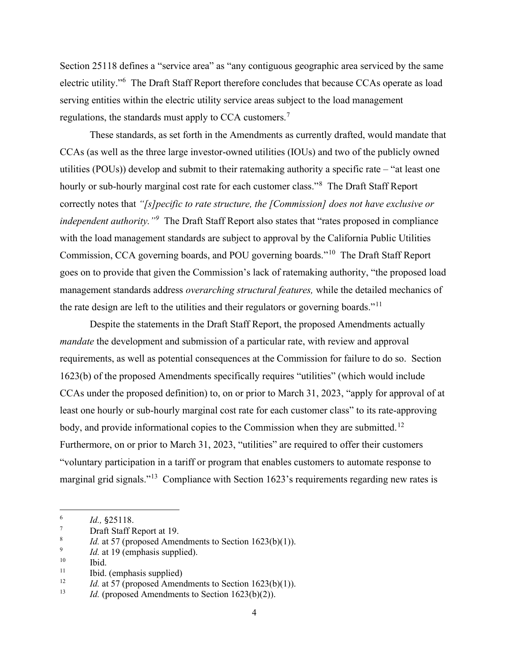Section 25118 defines a "service area" as "any contiguous geographic area serviced by the same electric utility."<sup>6</sup> The Draft Staff Report therefore concludes that because CCAs operate as load serving entities within the electric utility service areas subject to the load management regulations, the standards must apply to CCA customers.<sup>7</sup>

These standards, as set forth in the Amendments as currently drafted, would mandate that CCAs (as well as the three large investor-owned utilities (IOUs) and two of the publicly owned utilities (POUs)) develop and submit to their ratemaking authority a specific rate – "at least one hourly or sub-hourly marginal cost rate for each customer class."<sup>8</sup> The Draft Staff Report correctly notes that "[s] pecific to rate structure, the [Commission] does not have exclusive or independent authority.<sup>"9</sup> The Draft Staff Report also states that "rates proposed in compliance with the load management standards are subject to approval by the California Public Utilities Commission, CCA governing boards, and POU governing boards."<sup>10</sup> The Draft Staff Report goes on to provide that given the Commission's lack of ratemaking authority, "the proposed load management standards address *overarching structural features*, while the detailed mechanics of the rate design are left to the utilities and their regulators or governing boards."<sup>11</sup>

Despite the statements in the Draft Staff Report, the proposed Amendments actually mandate the development and submission of a particular rate, with review and approval requirements, as well as potential consequences at the Commission for failure to do so. Section 1623(b) of the proposed Amendments specifically requires "utilities" (which would include CCAs under the proposed definition) to, on or prior to March 31, 2023, "apply for approval of at least one hourly or sub-hourly marginal cost rate for each customer class" to its rate-approving body, and provide informational copies to the Commission when they are submitted.<sup>12</sup> Furthermore, on or prior to March 31, 2023, "utilities" are required to offer their customers "voluntary participation in a tariff or program that enables customers to automate response to marginal grid signals."<sup>13</sup> Compliance with Section 1623's requirements regarding new rates is

<sup>6</sup> Id., §25118.

<sup>7</sup> Draft Staff Report at 19.

<sup>8</sup> *Id.* at 57 (proposed Amendments to Section  $1623(b)(1)$ ).

<sup>9</sup> Id. at 19 (emphasis supplied).

 $\frac{10}{11}$  Ibid.

<sup>&</sup>lt;sup>11</sup> Ibid. (emphasis supplied)<br><sup>12</sup> *Id* at 57 (proposed Amen.

*Id.* at 57 (proposed Amendments to Section 1623(b)(1)).

<sup>&</sup>lt;sup>13</sup> *Id.* (proposed Amendments to Section 1623(b)(2)).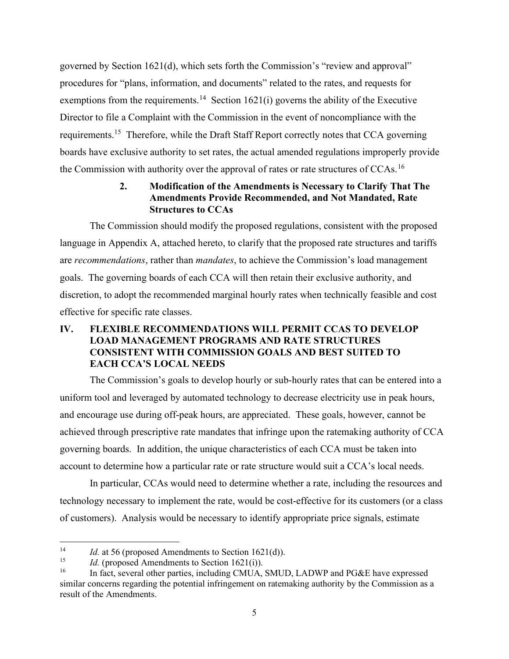governed by Section 1621(d), which sets forth the Commission's "review and approval" procedures for "plans, information, and documents" related to the rates, and requests for exemptions from the requirements.<sup>14</sup> Section 1621(i) governs the ability of the Executive Director to file a Complaint with the Commission in the event of noncompliance with the requirements.<sup>15</sup> Therefore, while the Draft Staff Report correctly notes that CCA governing boards have exclusive authority to set rates, the actual amended regulations improperly provide the Commission with authority over the approval of rates or rate structures of CCAs.<sup>16</sup>

#### 2. Modification of the Amendments is Necessary to Clarify That The Amendments Provide Recommended, and Not Mandated, Rate Structures to CCAs

The Commission should modify the proposed regulations, consistent with the proposed language in Appendix A, attached hereto, to clarify that the proposed rate structures and tariffs are recommendations, rather than mandates, to achieve the Commission's load management goals. The governing boards of each CCA will then retain their exclusive authority, and discretion, to adopt the recommended marginal hourly rates when technically feasible and cost effective for specific rate classes.

## IV. FLEXIBLE RECOMMENDATIONS WILL PERMIT CCAS TO DEVELOP LOAD MANAGEMENT PROGRAMS AND RATE STRUCTURES CONSISTENT WITH COMMISSION GOALS AND BEST SUITED TO EACH CCA'S LOCAL NEEDS

The Commission's goals to develop hourly or sub-hourly rates that can be entered into a uniform tool and leveraged by automated technology to decrease electricity use in peak hours, and encourage use during off-peak hours, are appreciated. These goals, however, cannot be achieved through prescriptive rate mandates that infringe upon the ratemaking authority of CCA governing boards. In addition, the unique characteristics of each CCA must be taken into account to determine how a particular rate or rate structure would suit a CCA's local needs.

In particular, CCAs would need to determine whether a rate, including the resources and technology necessary to implement the rate, would be cost-effective for its customers (or a class of customers). Analysis would be necessary to identify appropriate price signals, estimate

<sup>&</sup>lt;sup>14</sup> *Id.* at 56 (proposed Amendments to Section 1621(d)).

<sup>&</sup>lt;sup>15</sup> *Id.* (proposed Amendments to Section 1621(i)).<br><sup>16</sup> **In fact, several other parties, including CMIIA** 

In fact, several other parties, including CMUA, SMUD, LADWP and PG&E have expressed similar concerns regarding the potential infringement on ratemaking authority by the Commission as a result of the Amendments.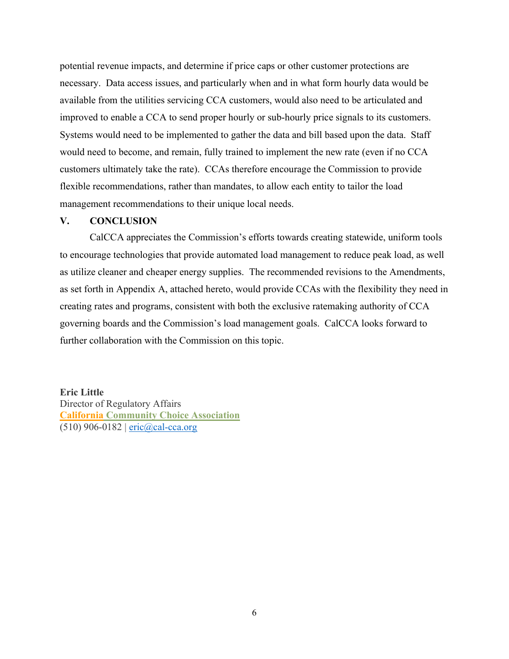potential revenue impacts, and determine if price caps or other customer protections are necessary. Data access issues, and particularly when and in what form hourly data would be available from the utilities servicing CCA customers, would also need to be articulated and improved to enable a CCA to send proper hourly or sub-hourly price signals to its customers. Systems would need to be implemented to gather the data and bill based upon the data. Staff would need to become, and remain, fully trained to implement the new rate (even if no CCA customers ultimately take the rate). CCAs therefore encourage the Commission to provide flexible recommendations, rather than mandates, to allow each entity to tailor the load management recommendations to their unique local needs.

#### V. CONCLUSION

CalCCA appreciates the Commission's efforts towards creating statewide, uniform tools to encourage technologies that provide automated load management to reduce peak load, as well as utilize cleaner and cheaper energy supplies. The recommended revisions to the Amendments, as set forth in Appendix A, attached hereto, would provide CCAs with the flexibility they need in creating rates and programs, consistent with both the exclusive ratemaking authority of CCA governing boards and the Commission's load management goals. CalCCA looks forward to further collaboration with the Commission on this topic.

Eric Little

Director of Regulatory Affairs California Community Choice Association (510) 906-0182 | eric@cal-cca.org